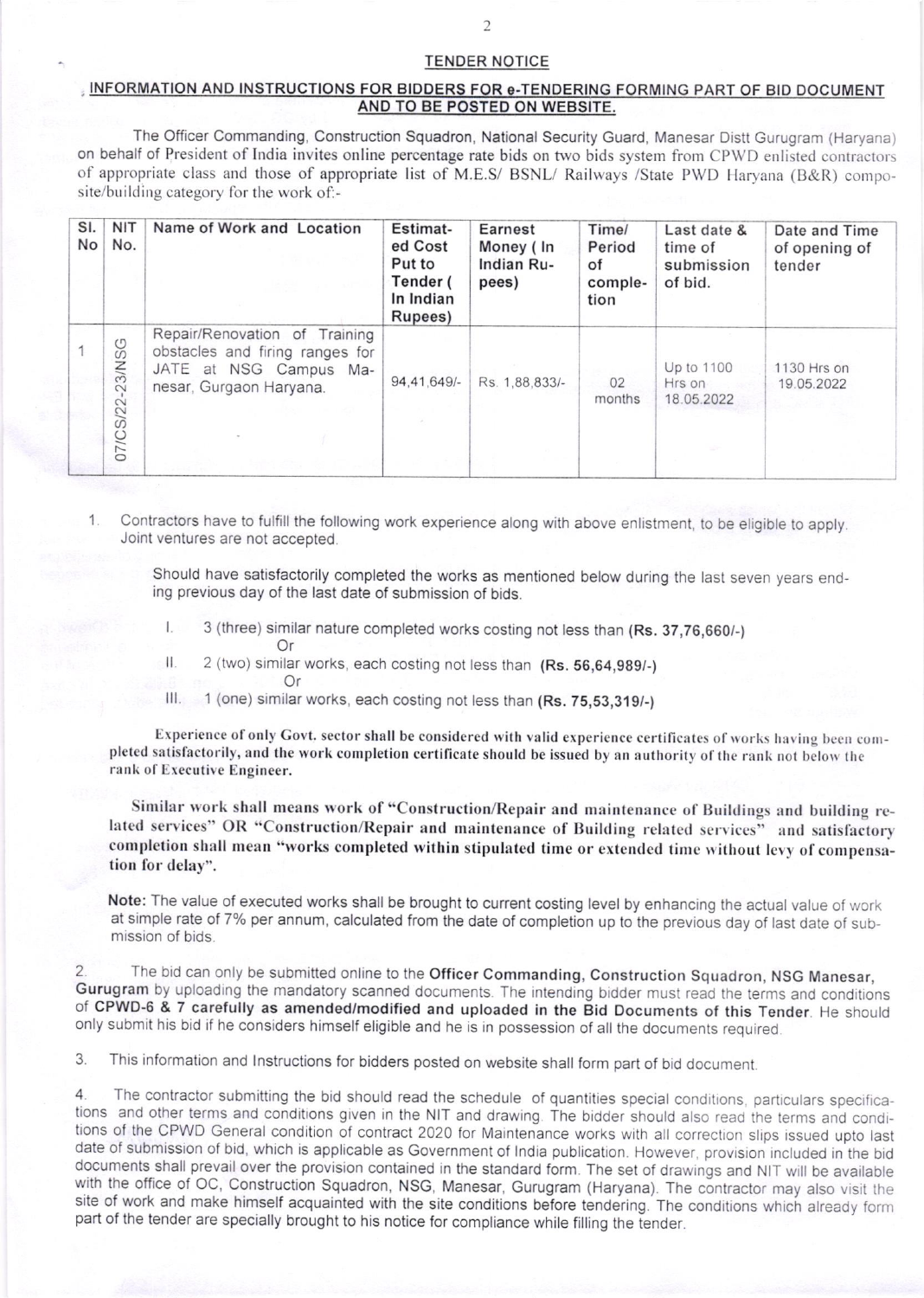## TENDER NOTICE

## INFORMATION AND INSTRUCTIONS FOR BIDDERS FOR e-TENDERING FORMING PART OF BID DOCUMENT AND TO BE POSTED ON WEBSITE.

The Offtcer Commanding, Construction Squadron, National Security Guard, Manesar Distt Gurugram (Haryana) on behalf of President of India invites online percentage rate bids on two bids system from CPWD enlisted contractors of appropriate class and those of appropriate list of M.E.S/ BSNL/ Railways /State PWD Haryana (B&R) composite/building category for the work of:-

| SI.<br>No | <b>NIT</b><br>No. | Name of Work and Location                                                                                             | Estimat-<br>ed Cost<br>Put to<br>Tender (<br>In Indian<br>Rupees) | Earnest<br>Money (In<br>Indian Ru-<br>pees) | Time/<br>Period<br>of<br>comple-<br>tion | Last date &<br>time of<br>submission<br>of bid. | Date and Time<br>of opening of<br>tender |
|-----------|-------------------|-----------------------------------------------------------------------------------------------------------------------|-------------------------------------------------------------------|---------------------------------------------|------------------------------------------|-------------------------------------------------|------------------------------------------|
|           | 07/CS/22-23/NSG   | Repair/Renovation of Training<br>obstacles and firing ranges for<br>JATE at NSG Campus Ma-<br>nesar, Gurgaon Haryana. | 94,41,649/-                                                       | Rs. 1,88,833/-                              | 02<br>months                             | Up to 1100<br>Hrs on<br>18.05.2022              | 1130 Hrs on<br>19.05.2022                |

Contractors have to fulfill the following work experience along with above enlistment, to be eligible to apply Joint ventures are not accepted.

Should have satisfactorily completed the works as mentioned below during the last seven years ending previous day of the last date of submission of bids.

- 3 (three) similar nature completed works costing not less than (Rs. 37,76,660/-)  $\mathsf{L}$ 
	- Or
- $\mathbf{II}$ 2 (two) similar works, each costing not less than (Rs. 56,64,989/-)
	- Or

11. 1 (one) similar works, each costing not less than (Rs. 75,53,319/-)

Experience of only Govt. sector shall be considered with valid experience certificates of works having been completed satisfactorily, and the work completion certificate should be issued by an authority of the rank not below the rank of Executive Engineer.

Similar work shall means work of "Construction/Repair and maintenance of Buildings and building related services" OR "Construction/Repair and maintenance of Building related services" and satisfactory completion shall mean "works completed within stipulated time or extended time without levy of compensation for delay".

Note: The value of executed works shall be brought to current costing level by enhancing the actual value of work at simple rate of 7% per annum, calculated from the date of completion up to the previous day of last date of submission of bids.

2. The bid can only be submitted online to the Officer Commanding, Construction Squadron, NSG Manesar, Gurugram by uploading the mandatory scanned documents. The intending bidder must read the terms and conditions of CPWDonly submit his bid if he considers himself eligible and he is in possession of all the documents required.

3. This information and lnstructions for bidders posted on website shatl form part of bid document.

4. The contractor submitting the bid should read the schedule of quantities special conditions, particulars specifications and other terms and conditions given in the NIT and drawing. The bidder should also read the terms tions of the CPWD General condition of contract 2020 for Maintenance works with all correction slips issued upto last date of submission of bid, which is applicable as Government of India publication. However, provision included in the bid documents shall prevail over the provision contained in the standard form. The set of drawings and NIT will be available with the office of OC, Construction Squadron, NSG, Manesar, Gurugram (Haryana). The contractor may also visit the site of work and make himself acquainted with the site conditions before tendering. The conditions which already form part of the tender are specially brought to his notice for compliance while filling the tender.